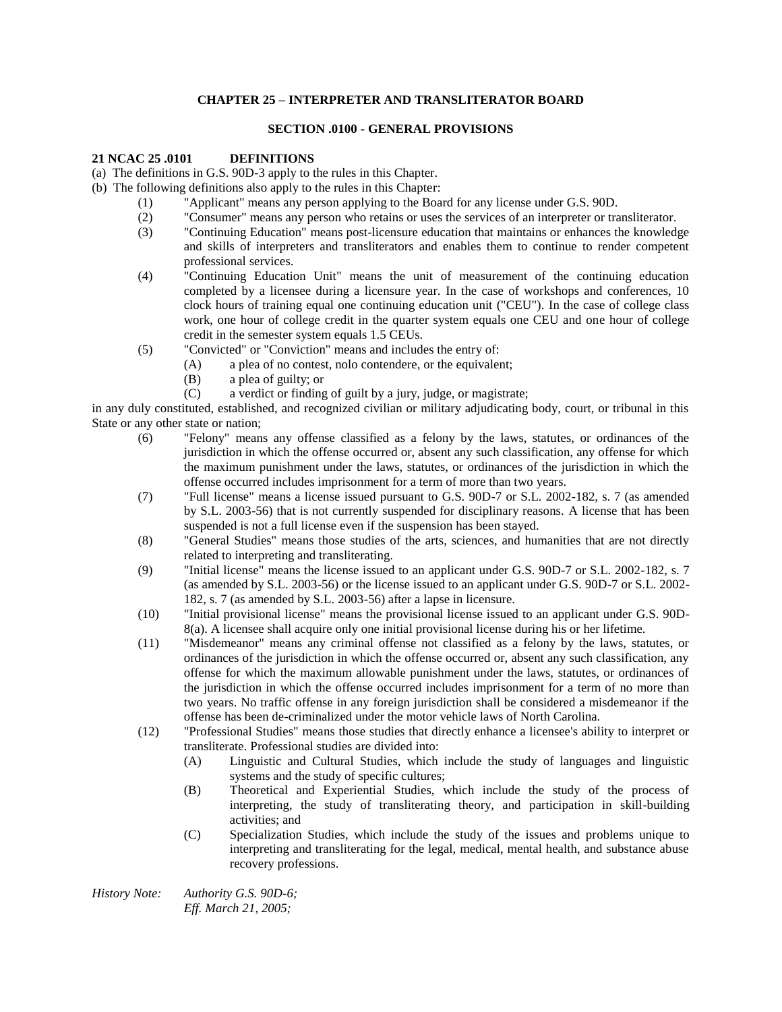## **CHAPTER 25 – INTERPRETER AND TRANSLITERATOR BOARD**

### **SECTION .0100 - GENERAL PROVISIONS**

### **21 NCAC 25 .0101 DEFINITIONS**

(a) The definitions in G.S. 90D-3 apply to the rules in this Chapter.

- (b) The following definitions also apply to the rules in this Chapter:
	- (1) "Applicant" means any person applying to the Board for any license under G.S. 90D.
	- (2) "Consumer" means any person who retains or uses the services of an interpreter or transliterator.
	- (3) "Continuing Education" means post-licensure education that maintains or enhances the knowledge and skills of interpreters and transliterators and enables them to continue to render competent professional services.
	- (4) "Continuing Education Unit" means the unit of measurement of the continuing education completed by a licensee during a licensure year. In the case of workshops and conferences, 10 clock hours of training equal one continuing education unit ("CEU"). In the case of college class work, one hour of college credit in the quarter system equals one CEU and one hour of college credit in the semester system equals 1.5 CEUs.
	- (5) "Convicted" or "Conviction" means and includes the entry of:
		- (A) a plea of no contest, nolo contendere, or the equivalent;
		- (B) a plea of guilty; or
		- (C) a verdict or finding of guilt by a jury, judge, or magistrate;

in any duly constituted, established, and recognized civilian or military adjudicating body, court, or tribunal in this State or any other state or nation;

- (6) "Felony" means any offense classified as a felony by the laws, statutes, or ordinances of the jurisdiction in which the offense occurred or, absent any such classification, any offense for which the maximum punishment under the laws, statutes, or ordinances of the jurisdiction in which the offense occurred includes imprisonment for a term of more than two years.
- (7) "Full license" means a license issued pursuant to G.S. 90D-7 or S.L. 2002-182, s. 7 (as amended by S.L. 2003-56) that is not currently suspended for disciplinary reasons. A license that has been suspended is not a full license even if the suspension has been stayed.
- (8) "General Studies" means those studies of the arts, sciences, and humanities that are not directly related to interpreting and transliterating.
- (9) "Initial license" means the license issued to an applicant under G.S. 90D-7 or S.L. 2002-182, s. 7 (as amended by S.L. 2003-56) or the license issued to an applicant under G.S. 90D-7 or S.L. 2002- 182, s. 7 (as amended by S.L. 2003-56) after a lapse in licensure.
- (10) "Initial provisional license" means the provisional license issued to an applicant under G.S. 90D-8(a). A licensee shall acquire only one initial provisional license during his or her lifetime.
- (11) "Misdemeanor" means any criminal offense not classified as a felony by the laws, statutes, or ordinances of the jurisdiction in which the offense occurred or, absent any such classification, any offense for which the maximum allowable punishment under the laws, statutes, or ordinances of the jurisdiction in which the offense occurred includes imprisonment for a term of no more than two years. No traffic offense in any foreign jurisdiction shall be considered a misdemeanor if the offense has been de-criminalized under the motor vehicle laws of North Carolina.
- (12) "Professional Studies" means those studies that directly enhance a licensee's ability to interpret or transliterate. Professional studies are divided into:
	- (A) Linguistic and Cultural Studies, which include the study of languages and linguistic systems and the study of specific cultures;
	- (B) Theoretical and Experiential Studies, which include the study of the process of interpreting, the study of transliterating theory, and participation in skill-building activities; and
	- (C) Specialization Studies, which include the study of the issues and problems unique to interpreting and transliterating for the legal, medical, mental health, and substance abuse recovery professions.

| <i>History Note:</i> | Authority G.S. 90D-6;       |
|----------------------|-----------------------------|
|                      | <i>Eff. March 21, 2005;</i> |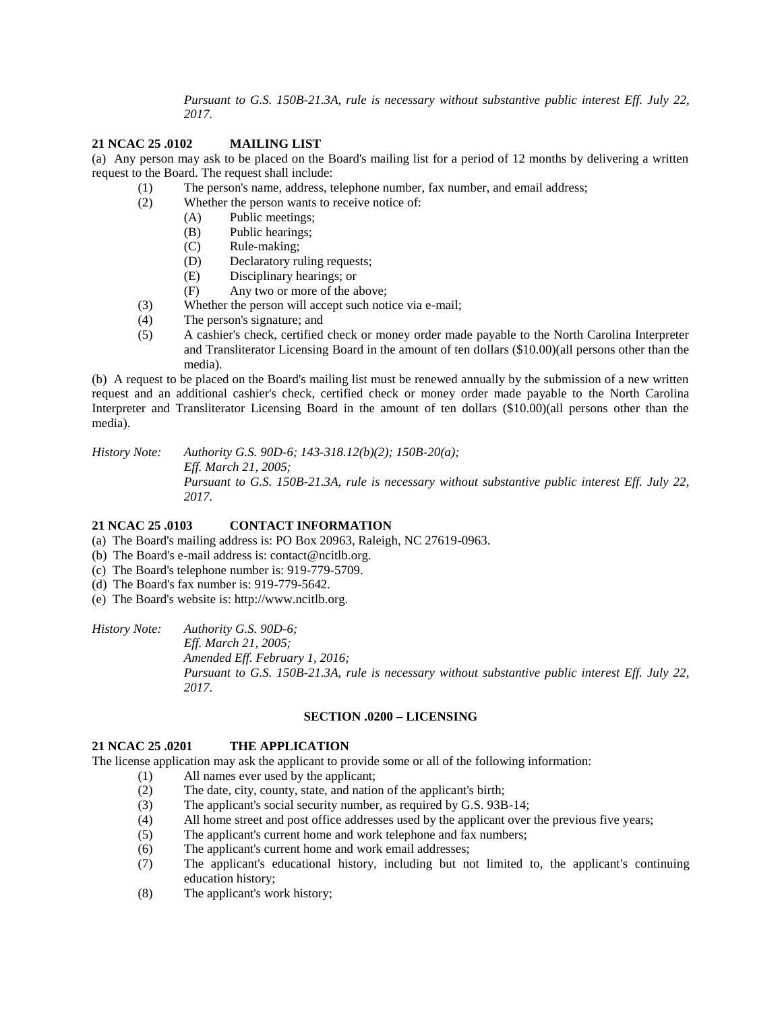*Pursuant to G.S. 150B-21.3A, rule is necessary without substantive public interest Eff. July 22, 2017.*

### **21 NCAC 25 .0102 MAILING LIST**

(a) Any person may ask to be placed on the Board's mailing list for a period of 12 months by delivering a written request to the Board. The request shall include:

- (1) The person's name, address, telephone number, fax number, and email address;
- (2) Whether the person wants to receive notice of:
	- (A) Public meetings;
	- (B) Public hearings;
	- (C) Rule-making;
	- (D) Declaratory ruling requests;
	- (E) Disciplinary hearings; or
	- (F) Any two or more of the above;
- (3) Whether the person will accept such notice via e-mail;
- (4) The person's signature; and
- (5) A cashier's check, certified check or money order made payable to the North Carolina Interpreter and Transliterator Licensing Board in the amount of ten dollars (\$10.00)(all persons other than the media).

(b) A request to be placed on the Board's mailing list must be renewed annually by the submission of a new written request and an additional cashier's check, certified check or money order made payable to the North Carolina Interpreter and Transliterator Licensing Board in the amount of ten dollars (\$10.00)(all persons other than the media).

*History Note: Authority G.S. 90D-6; 143-318.12(b)(2); 150B-20(a); Eff. March 21, 2005; Pursuant to G.S. 150B-21.3A, rule is necessary without substantive public interest Eff. July 22, 2017.*

# **21 NCAC 25 .0103 CONTACT INFORMATION**

(a) The Board's mailing address is: PO Box 20963, Raleigh, NC 27619-0963.

- (b) The Board's e-mail address is: contact@ncitlb.org.
- (c) The Board's telephone number is: 919-779-5709.
- (d) The Board's fax number is: 919-779-5642.
- (e) The Board's website is: http://www.ncitlb.org.

*History Note: Authority G.S. 90D-6;*

*Eff. March 21, 2005; Amended Eff. February 1, 2016; Pursuant to G.S. 150B-21.3A, rule is necessary without substantive public interest Eff. July 22, 2017.*

# **SECTION .0200 – LICENSING**

## **21 NCAC 25 .0201 THE APPLICATION**

The license application may ask the applicant to provide some or all of the following information:

- (1) All names ever used by the applicant;
- (2) The date, city, county, state, and nation of the applicant's birth;
- (3) The applicant's social security number, as required by G.S. 93B-14;
- (4) All home street and post office addresses used by the applicant over the previous five years;
- (5) The applicant's current home and work telephone and fax numbers;
- (6) The applicant's current home and work email addresses;
- (7) The applicant's educational history, including but not limited to, the applicant's continuing education history;
- (8) The applicant's work history;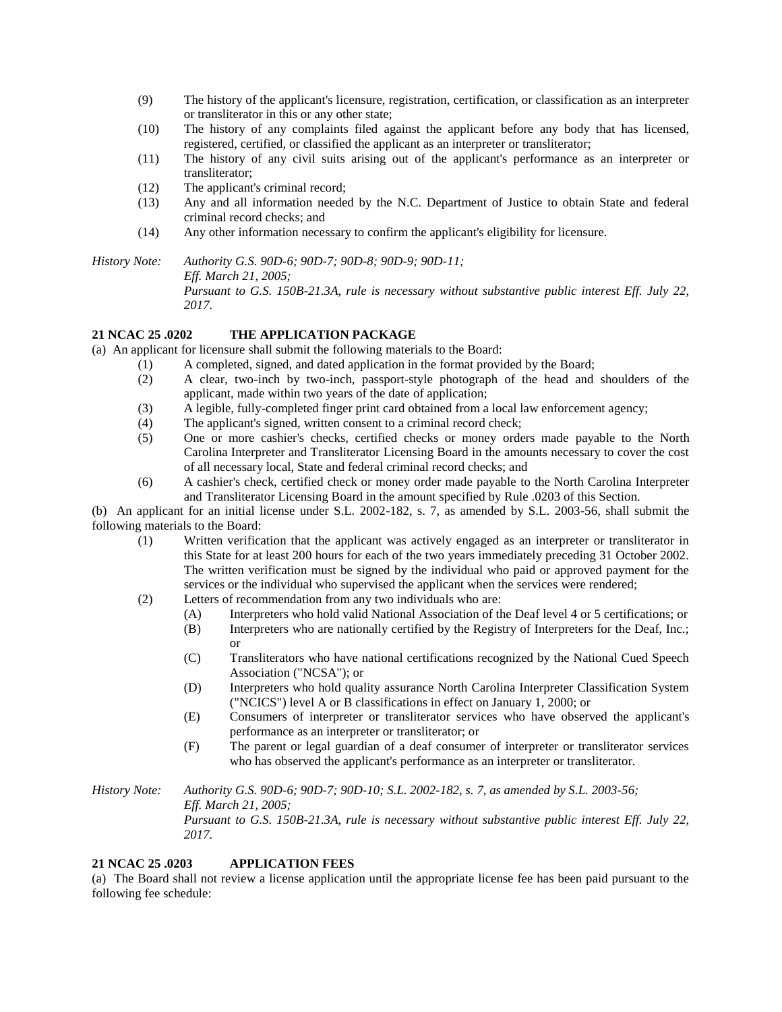- (9) The history of the applicant's licensure, registration, certification, or classification as an interpreter or transliterator in this or any other state;
- (10) The history of any complaints filed against the applicant before any body that has licensed, registered, certified, or classified the applicant as an interpreter or transliterator;
- (11) The history of any civil suits arising out of the applicant's performance as an interpreter or transliterator;
- (12) The applicant's criminal record;
- (13) Any and all information needed by the N.C. Department of Justice to obtain State and federal criminal record checks; and
- (14) Any other information necessary to confirm the applicant's eligibility for licensure.

*History Note: Authority G.S. 90D-6; 90D-7; 90D-8; 90D-9; 90D-11; Eff. March 21, 2005; Pursuant to G.S. 150B-21.3A, rule is necessary without substantive public interest Eff. July 22, 2017.*

# **21 NCAC 25 .0202 THE APPLICATION PACKAGE**

(a) An applicant for licensure shall submit the following materials to the Board:

- (1) A completed, signed, and dated application in the format provided by the Board;
	- (2) A clear, two-inch by two-inch, passport-style photograph of the head and shoulders of the applicant, made within two years of the date of application;
	- (3) A legible, fully-completed finger print card obtained from a local law enforcement agency;
	- (4) The applicant's signed, written consent to a criminal record check;
	- (5) One or more cashier's checks, certified checks or money orders made payable to the North Carolina Interpreter and Transliterator Licensing Board in the amounts necessary to cover the cost of all necessary local, State and federal criminal record checks; and
	- (6) A cashier's check, certified check or money order made payable to the North Carolina Interpreter and Transliterator Licensing Board in the amount specified by Rule .0203 of this Section.

(b) An applicant for an initial license under S.L. 2002-182, s. 7, as amended by S.L. 2003-56, shall submit the following materials to the Board:

- (1) Written verification that the applicant was actively engaged as an interpreter or transliterator in this State for at least 200 hours for each of the two years immediately preceding 31 October 2002. The written verification must be signed by the individual who paid or approved payment for the services or the individual who supervised the applicant when the services were rendered;
- (2) Letters of recommendation from any two individuals who are:
	- (A) Interpreters who hold valid National Association of the Deaf level 4 or 5 certifications; or
	- (B) Interpreters who are nationally certified by the Registry of Interpreters for the Deaf, Inc.; or
	- (C) Transliterators who have national certifications recognized by the National Cued Speech Association ("NCSA"); or
	- (D) Interpreters who hold quality assurance North Carolina Interpreter Classification System ("NCICS") level A or B classifications in effect on January 1, 2000; or
	- (E) Consumers of interpreter or transliterator services who have observed the applicant's performance as an interpreter or transliterator; or
	- (F) The parent or legal guardian of a deaf consumer of interpreter or transliterator services who has observed the applicant's performance as an interpreter or transliterator.

*History Note: Authority G.S. 90D-6; 90D-7; 90D-10; S.L. 2002-182, s. 7, as amended by S.L. 2003-56; Eff. March 21, 2005; Pursuant to G.S. 150B-21.3A, rule is necessary without substantive public interest Eff. July 22, 2017.*

# **21 NCAC 25 .0203 APPLICATION FEES**

(a) The Board shall not review a license application until the appropriate license fee has been paid pursuant to the following fee schedule: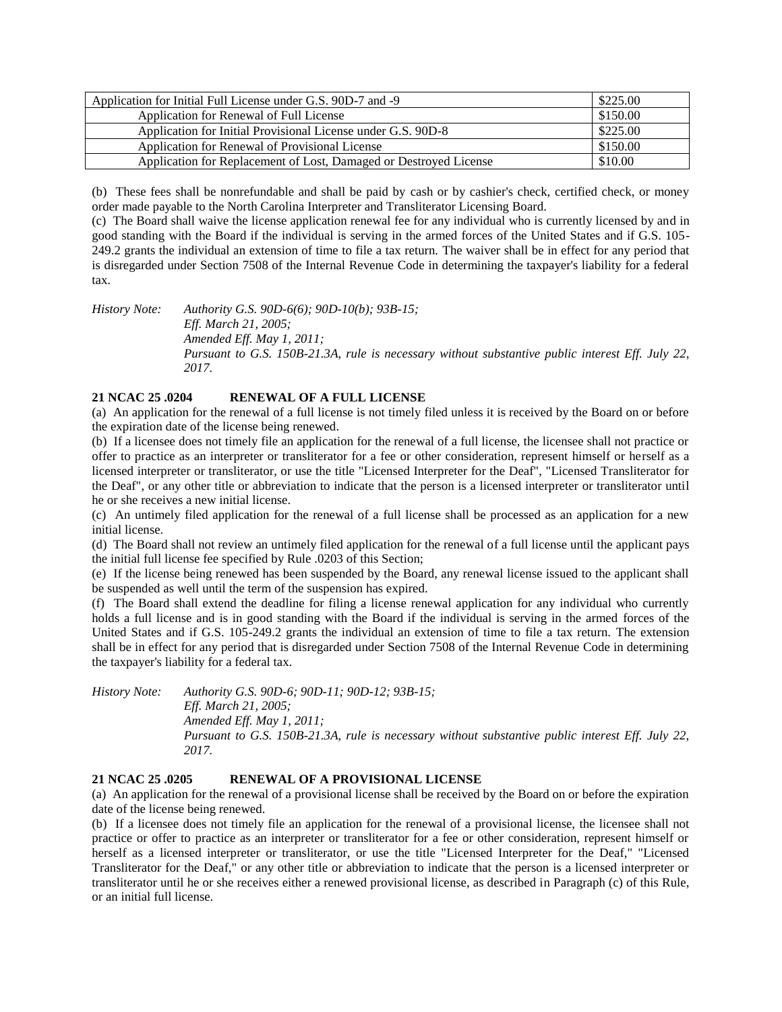| Application for Initial Full License under G.S. 90D-7 and -9      | \$225.00 |
|-------------------------------------------------------------------|----------|
| Application for Renewal of Full License                           | \$150.00 |
| Application for Initial Provisional License under G.S. 90D-8      | \$225.00 |
| Application for Renewal of Provisional License                    | \$150.00 |
| Application for Replacement of Lost, Damaged or Destroyed License | \$10.00  |

(b) These fees shall be nonrefundable and shall be paid by cash or by cashier's check, certified check, or money order made payable to the North Carolina Interpreter and Transliterator Licensing Board.

(c) The Board shall waive the license application renewal fee for any individual who is currently licensed by and in good standing with the Board if the individual is serving in the armed forces of the United States and if G.S. 105- 249.2 grants the individual an extension of time to file a tax return. The waiver shall be in effect for any period that is disregarded under Section 7508 of the Internal Revenue Code in determining the taxpayer's liability for a federal tax.

*History Note: Authority G.S. 90D-6(6); 90D-10(b); 93B-15; Eff. March 21, 2005; Amended Eff. May 1, 2011; Pursuant to G.S. 150B-21.3A, rule is necessary without substantive public interest Eff. July 22, 2017.*

# **21 NCAC 25 .0204 RENEWAL OF A FULL LICENSE**

(a) An application for the renewal of a full license is not timely filed unless it is received by the Board on or before the expiration date of the license being renewed.

(b) If a licensee does not timely file an application for the renewal of a full license, the licensee shall not practice or offer to practice as an interpreter or transliterator for a fee or other consideration, represent himself or herself as a licensed interpreter or transliterator, or use the title "Licensed Interpreter for the Deaf", "Licensed Transliterator for the Deaf", or any other title or abbreviation to indicate that the person is a licensed interpreter or transliterator until he or she receives a new initial license.

(c) An untimely filed application for the renewal of a full license shall be processed as an application for a new initial license.

(d) The Board shall not review an untimely filed application for the renewal of a full license until the applicant pays the initial full license fee specified by Rule .0203 of this Section;

(e) If the license being renewed has been suspended by the Board, any renewal license issued to the applicant shall be suspended as well until the term of the suspension has expired.

(f) The Board shall extend the deadline for filing a license renewal application for any individual who currently holds a full license and is in good standing with the Board if the individual is serving in the armed forces of the United States and if G.S. 105-249.2 grants the individual an extension of time to file a tax return. The extension shall be in effect for any period that is disregarded under Section 7508 of the Internal Revenue Code in determining the taxpayer's liability for a federal tax.

*History Note: Authority G.S. 90D-6; 90D-11; 90D-12; 93B-15; Eff. March 21, 2005; Amended Eff. May 1, 2011; Pursuant to G.S. 150B-21.3A, rule is necessary without substantive public interest Eff. July 22, 2017.*

# **21 NCAC 25 .0205 RENEWAL OF A PROVISIONAL LICENSE**

(a) An application for the renewal of a provisional license shall be received by the Board on or before the expiration date of the license being renewed.

(b) If a licensee does not timely file an application for the renewal of a provisional license, the licensee shall not practice or offer to practice as an interpreter or transliterator for a fee or other consideration, represent himself or herself as a licensed interpreter or transliterator, or use the title "Licensed Interpreter for the Deaf," "Licensed Transliterator for the Deaf," or any other title or abbreviation to indicate that the person is a licensed interpreter or transliterator until he or she receives either a renewed provisional license, as described in Paragraph (c) of this Rule, or an initial full license.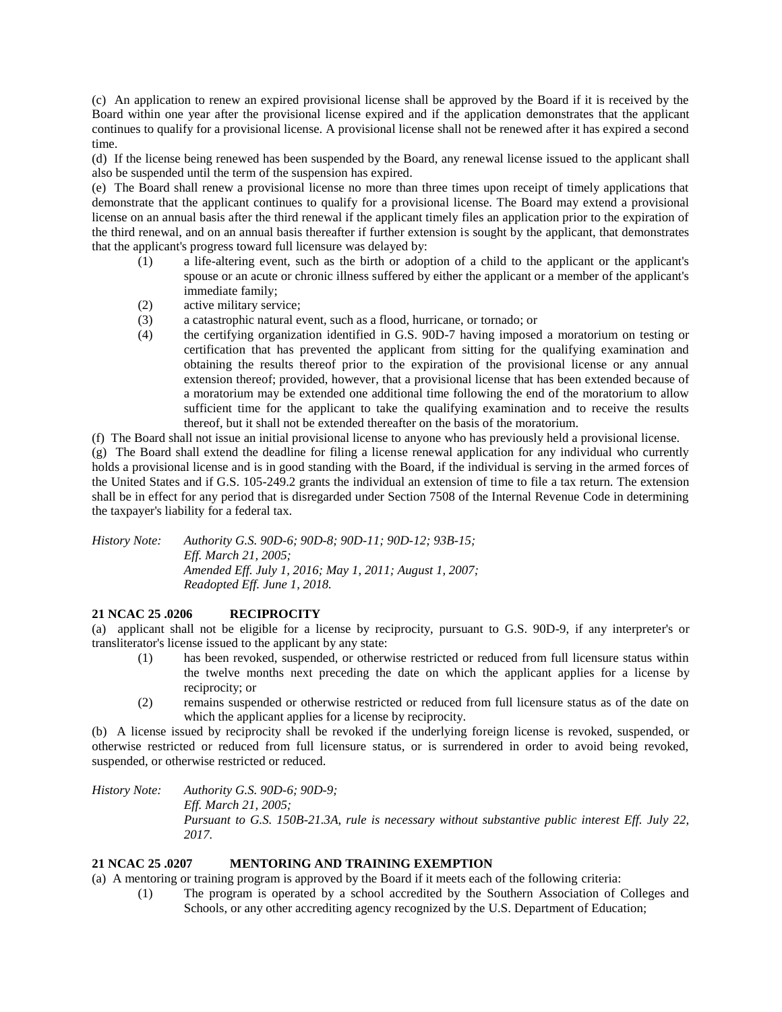(c) An application to renew an expired provisional license shall be approved by the Board if it is received by the Board within one year after the provisional license expired and if the application demonstrates that the applicant continues to qualify for a provisional license. A provisional license shall not be renewed after it has expired a second time.

(d) If the license being renewed has been suspended by the Board, any renewal license issued to the applicant shall also be suspended until the term of the suspension has expired.

(e) The Board shall renew a provisional license no more than three times upon receipt of timely applications that demonstrate that the applicant continues to qualify for a provisional license. The Board may extend a provisional license on an annual basis after the third renewal if the applicant timely files an application prior to the expiration of the third renewal, and on an annual basis thereafter if further extension is sought by the applicant, that demonstrates that the applicant's progress toward full licensure was delayed by:

- $(1)$  a life-altering event, such as the birth or adoption of a child to the applicant or the applicant's spouse or an acute or chronic illness suffered by either the applicant or a member of the applicant's immediate family;
- (2) active military service;
- (3) a catastrophic natural event, such as a flood, hurricane, or tornado; or
- (4) the certifying organization identified in G.S. 90D-7 having imposed a moratorium on testing or certification that has prevented the applicant from sitting for the qualifying examination and obtaining the results thereof prior to the expiration of the provisional license or any annual extension thereof; provided, however, that a provisional license that has been extended because of a moratorium may be extended one additional time following the end of the moratorium to allow sufficient time for the applicant to take the qualifying examination and to receive the results thereof, but it shall not be extended thereafter on the basis of the moratorium.

(f) The Board shall not issue an initial provisional license to anyone who has previously held a provisional license. (g) The Board shall extend the deadline for filing a license renewal application for any individual who currently holds a provisional license and is in good standing with the Board, if the individual is serving in the armed forces of the United States and if G.S. 105-249.2 grants the individual an extension of time to file a tax return. The extension shall be in effect for any period that is disregarded under Section 7508 of the Internal Revenue Code in determining the taxpayer's liability for a federal tax.

*History Note: Authority G.S. 90D-6; 90D-8; 90D-11; 90D-12; 93B-15; Eff. March 21, 2005; Amended Eff. July 1, 2016; May 1, 2011; August 1, 2007; Readopted Eff. June 1, 2018.*

# **21 NCAC 25 .0206 RECIPROCITY**

(a) applicant shall not be eligible for a license by reciprocity, pursuant to G.S. 90D-9, if any interpreter's or transliterator's license issued to the applicant by any state:

- (1) has been revoked, suspended, or otherwise restricted or reduced from full licensure status within the twelve months next preceding the date on which the applicant applies for a license by reciprocity; or
- (2) remains suspended or otherwise restricted or reduced from full licensure status as of the date on which the applicant applies for a license by reciprocity.

(b) A license issued by reciprocity shall be revoked if the underlying foreign license is revoked, suspended, or otherwise restricted or reduced from full licensure status, or is surrendered in order to avoid being revoked, suspended, or otherwise restricted or reduced.

*History Note: Authority G.S. 90D-6; 90D-9; Eff. March 21, 2005; Pursuant to G.S. 150B-21.3A, rule is necessary without substantive public interest Eff. July 22, 2017.*

# **21 NCAC 25 .0207 MENTORING AND TRAINING EXEMPTION**

(a) A mentoring or training program is approved by the Board if it meets each of the following criteria:

(1) The program is operated by a school accredited by the Southern Association of Colleges and Schools, or any other accrediting agency recognized by the U.S. Department of Education;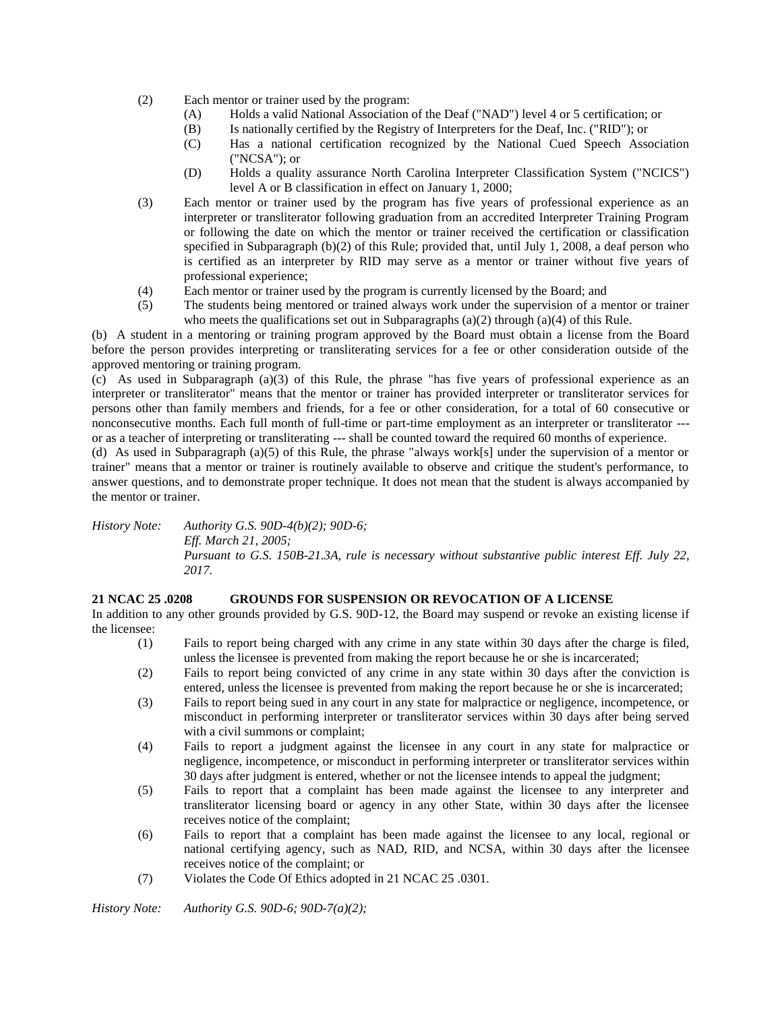- (2) Each mentor or trainer used by the program:
	- (A) Holds a valid National Association of the Deaf ("NAD") level 4 or 5 certification; or
	- (B) Is nationally certified by the Registry of Interpreters for the Deaf, Inc. ("RID"); or
	- (C) Has a national certification recognized by the National Cued Speech Association ("NCSA"); or
	- (D) Holds a quality assurance North Carolina Interpreter Classification System ("NCICS") level A or B classification in effect on January 1, 2000;
- (3) Each mentor or trainer used by the program has five years of professional experience as an interpreter or transliterator following graduation from an accredited Interpreter Training Program or following the date on which the mentor or trainer received the certification or classification specified in Subparagraph (b)(2) of this Rule; provided that, until July 1, 2008, a deaf person who is certified as an interpreter by RID may serve as a mentor or trainer without five years of professional experience;
- (4) Each mentor or trainer used by the program is currently licensed by the Board; and
- (5) The students being mentored or trained always work under the supervision of a mentor or trainer who meets the qualifications set out in Subparagraphs (a)(2) through (a)(4) of this Rule.

(b) A student in a mentoring or training program approved by the Board must obtain a license from the Board before the person provides interpreting or transliterating services for a fee or other consideration outside of the approved mentoring or training program.

(c) As used in Subparagraph (a)(3) of this Rule, the phrase "has five years of professional experience as an interpreter or transliterator" means that the mentor or trainer has provided interpreter or transliterator services for persons other than family members and friends, for a fee or other consideration, for a total of 60 consecutive or nonconsecutive months. Each full month of full-time or part-time employment as an interpreter or transliterator -- or as a teacher of interpreting or transliterating --- shall be counted toward the required 60 months of experience.

(d) As used in Subparagraph (a)(5) of this Rule, the phrase "always work[s] under the supervision of a mentor or trainer" means that a mentor or trainer is routinely available to observe and critique the student's performance, to answer questions, and to demonstrate proper technique. It does not mean that the student is always accompanied by the mentor or trainer.

*History Note: Authority G.S. 90D-4(b)(2); 90D-6; Eff. March 21, 2005; Pursuant to G.S. 150B-21.3A, rule is necessary without substantive public interest Eff. July 22, 2017.*

### **21 NCAC 25 .0208 GROUNDS FOR SUSPENSION OR REVOCATION OF A LICENSE**

In addition to any other grounds provided by G.S. 90D-12, the Board may suspend or revoke an existing license if the licensee:

- (1) Fails to report being charged with any crime in any state within 30 days after the charge is filed, unless the licensee is prevented from making the report because he or she is incarcerated;
- (2) Fails to report being convicted of any crime in any state within 30 days after the conviction is entered, unless the licensee is prevented from making the report because he or she is incarcerated;
- (3) Fails to report being sued in any court in any state for malpractice or negligence, incompetence, or misconduct in performing interpreter or transliterator services within 30 days after being served with a civil summons or complaint;
- (4) Fails to report a judgment against the licensee in any court in any state for malpractice or negligence, incompetence, or misconduct in performing interpreter or transliterator services within 30 days after judgment is entered, whether or not the licensee intends to appeal the judgment;
- (5) Fails to report that a complaint has been made against the licensee to any interpreter and transliterator licensing board or agency in any other State, within 30 days after the licensee receives notice of the complaint;
- (6) Fails to report that a complaint has been made against the licensee to any local, regional or national certifying agency, such as NAD, RID, and NCSA, within 30 days after the licensee receives notice of the complaint; or
- (7) Violates the Code Of Ethics adopted in 21 NCAC 25 .0301.

*History Note: Authority G.S. 90D-6; 90D-7(a)(2);*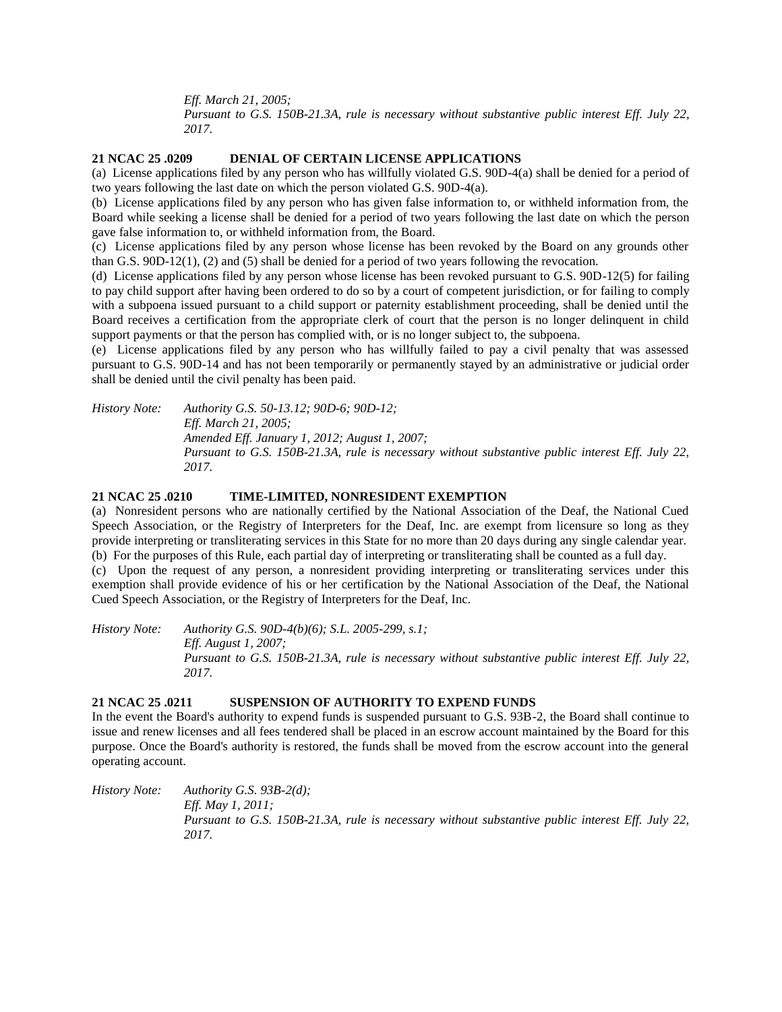*Eff. March 21, 2005;*

*Pursuant to G.S. 150B-21.3A, rule is necessary without substantive public interest Eff. July 22, 2017.*

#### **21 NCAC 25 .0209 DENIAL OF CERTAIN LICENSE APPLICATIONS**

(a) License applications filed by any person who has willfully violated G.S. 90D-4(a) shall be denied for a period of two years following the last date on which the person violated G.S. 90D-4(a).

(b) License applications filed by any person who has given false information to, or withheld information from, the Board while seeking a license shall be denied for a period of two years following the last date on which the person gave false information to, or withheld information from, the Board.

(c) License applications filed by any person whose license has been revoked by the Board on any grounds other than G.S. 90D-12(1), (2) and (5) shall be denied for a period of two years following the revocation.

(d) License applications filed by any person whose license has been revoked pursuant to G.S. 90D-12(5) for failing to pay child support after having been ordered to do so by a court of competent jurisdiction, or for failing to comply with a subpoena issued pursuant to a child support or paternity establishment proceeding, shall be denied until the Board receives a certification from the appropriate clerk of court that the person is no longer delinquent in child support payments or that the person has complied with, or is no longer subject to, the subpoena.

(e) License applications filed by any person who has willfully failed to pay a civil penalty that was assessed pursuant to G.S. 90D-14 and has not been temporarily or permanently stayed by an administrative or judicial order shall be denied until the civil penalty has been paid.

*History Note: Authority G.S. 50-13.12; 90D-6; 90D-12; Eff. March 21, 2005; Amended Eff. January 1, 2012; August 1, 2007; Pursuant to G.S. 150B-21.3A, rule is necessary without substantive public interest Eff. July 22, 2017.*

### **21 NCAC 25 .0210 TIME-LIMITED, NONRESIDENT EXEMPTION**

(a) Nonresident persons who are nationally certified by the National Association of the Deaf, the National Cued Speech Association, or the Registry of Interpreters for the Deaf, Inc. are exempt from licensure so long as they provide interpreting or transliterating services in this State for no more than 20 days during any single calendar year. (b) For the purposes of this Rule, each partial day of interpreting or transliterating shall be counted as a full day. (c) Upon the request of any person, a nonresident providing interpreting or transliterating services under this exemption shall provide evidence of his or her certification by the National Association of the Deaf, the National Cued Speech Association, or the Registry of Interpreters for the Deaf, Inc.

*History Note: Authority G.S. 90D-4(b)(6); S.L. 2005-299, s.1; Eff. August 1, 2007; Pursuant to G.S. 150B-21.3A, rule is necessary without substantive public interest Eff. July 22, 2017.*

#### **21 NCAC 25 .0211 SUSPENSION OF AUTHORITY TO EXPEND FUNDS**

In the event the Board's authority to expend funds is suspended pursuant to G.S. 93B-2, the Board shall continue to issue and renew licenses and all fees tendered shall be placed in an escrow account maintained by the Board for this purpose. Once the Board's authority is restored, the funds shall be moved from the escrow account into the general operating account.

*History Note: Authority G.S. 93B-2(d); Eff. May 1, 2011; Pursuant to G.S. 150B-21.3A, rule is necessary without substantive public interest Eff. July 22, 2017.*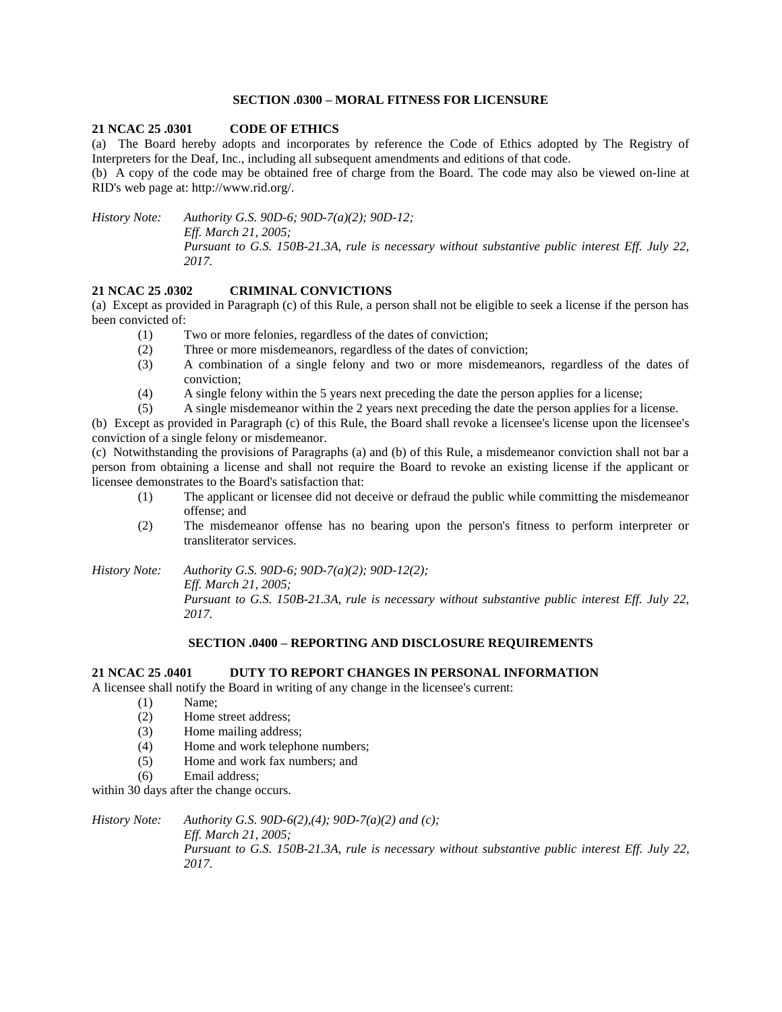### **SECTION .0300 – MORAL FITNESS FOR LICENSURE**

#### **21 NCAC 25 .0301 CODE OF ETHICS**

(a) The Board hereby adopts and incorporates by reference the Code of Ethics adopted by The Registry of Interpreters for the Deaf, Inc., including all subsequent amendments and editions of that code.

(b) A copy of the code may be obtained free of charge from the Board. The code may also be viewed on-line at RID's web page at: http://www.rid.org/.

*History Note: Authority G.S. 90D-6; 90D-7(a)(2); 90D-12; Eff. March 21, 2005; Pursuant to G.S. 150B-21.3A, rule is necessary without substantive public interest Eff. July 22, 2017.*

## **21 NCAC 25 .0302 CRIMINAL CONVICTIONS**

(a) Except as provided in Paragraph (c) of this Rule, a person shall not be eligible to seek a license if the person has been convicted of:

- (1) Two or more felonies, regardless of the dates of conviction;
- (2) Three or more misdemeanors, regardless of the dates of conviction;
- (3) A combination of a single felony and two or more misdemeanors, regardless of the dates of conviction;
- (4) A single felony within the 5 years next preceding the date the person applies for a license;
- (5) A single misdemeanor within the 2 years next preceding the date the person applies for a license.

(b) Except as provided in Paragraph (c) of this Rule, the Board shall revoke a licensee's license upon the licensee's conviction of a single felony or misdemeanor.

(c) Notwithstanding the provisions of Paragraphs (a) and (b) of this Rule, a misdemeanor conviction shall not bar a person from obtaining a license and shall not require the Board to revoke an existing license if the applicant or licensee demonstrates to the Board's satisfaction that:

- (1) The applicant or licensee did not deceive or defraud the public while committing the misdemeanor offense; and
- (2) The misdemeanor offense has no bearing upon the person's fitness to perform interpreter or transliterator services.

*History Note: Authority G.S. 90D-6; 90D-7(a)(2); 90D-12(2);* 

*Eff. March 21, 2005;*

*Pursuant to G.S. 150B-21.3A, rule is necessary without substantive public interest Eff. July 22, 2017.*

#### **SECTION .0400 – REPORTING AND DISCLOSURE REQUIREMENTS**

#### **21 NCAC 25 .0401 DUTY TO REPORT CHANGES IN PERSONAL INFORMATION**

A licensee shall notify the Board in writing of any change in the licensee's current:

- (1) Name;
- (2) Home street address;
- (3) Home mailing address;
- (4) Home and work telephone numbers;
- (5) Home and work fax numbers; and
- (6) Email address;

within 30 days after the change occurs.

*History Note: Authority G.S. 90D-6(2),(4); 90D-7(a)(2) and (c); Eff. March 21, 2005; Pursuant to G.S. 150B-21.3A, rule is necessary without substantive public interest Eff. July 22, 2017.*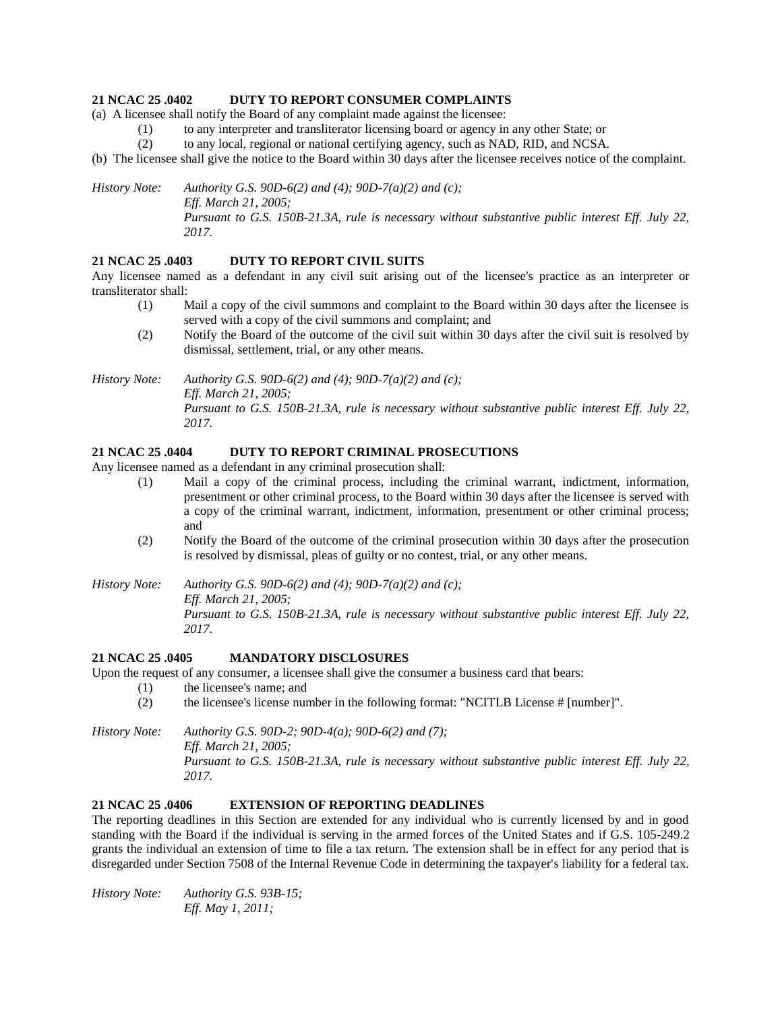#### **21 NCAC 25 .0402 DUTY TO REPORT CONSUMER COMPLAINTS**

- (a) A licensee shall notify the Board of any complaint made against the licensee:
	- (1) to any interpreter and transliterator licensing board or agency in any other State; or
	- (2) to any local, regional or national certifying agency, such as NAD, RID, and NCSA.

(b) The licensee shall give the notice to the Board within 30 days after the licensee receives notice of the complaint.

*History Note: Authority G.S. 90D-6(2) and (4); 90D-7(a)(2) and (c); Eff. March 21, 2005; Pursuant to G.S. 150B-21.3A, rule is necessary without substantive public interest Eff. July 22, 2017.*

#### **21 NCAC 25 .0403 DUTY TO REPORT CIVIL SUITS**

Any licensee named as a defendant in any civil suit arising out of the licensee's practice as an interpreter or transliterator shall:

- (1) Mail a copy of the civil summons and complaint to the Board within 30 days after the licensee is served with a copy of the civil summons and complaint; and
- (2) Notify the Board of the outcome of the civil suit within 30 days after the civil suit is resolved by dismissal, settlement, trial, or any other means.

*History Note: Authority G.S. 90D-6(2) and (4); 90D-7(a)(2) and (c); Eff. March 21, 2005; Pursuant to G.S. 150B-21.3A, rule is necessary without substantive public interest Eff. July 22, 2017.*

### **21 NCAC 25 .0404 DUTY TO REPORT CRIMINAL PROSECUTIONS**

Any licensee named as a defendant in any criminal prosecution shall:

- (1) Mail a copy of the criminal process, including the criminal warrant, indictment, information, presentment or other criminal process, to the Board within 30 days after the licensee is served with a copy of the criminal warrant, indictment, information, presentment or other criminal process; and
- (2) Notify the Board of the outcome of the criminal prosecution within 30 days after the prosecution is resolved by dismissal, pleas of guilty or no contest, trial, or any other means.
- *History Note: Authority G.S. 90D-6(2) and (4); 90D-7(a)(2) and (c); Eff. March 21, 2005; Pursuant to G.S. 150B-21.3A, rule is necessary without substantive public interest Eff. July 22, 2017.*

#### **21 NCAC 25 .0405 MANDATORY DISCLOSURES**

Upon the request of any consumer, a licensee shall give the consumer a business card that bears:

- (1) the licensee's name; and
- (2) the licensee's license number in the following format: "NCITLB License # [number]".

*History Note: Authority G.S. 90D-2; 90D-4(a); 90D-6(2) and (7); Eff. March 21, 2005; Pursuant to G.S. 150B-21.3A, rule is necessary without substantive public interest Eff. July 22, 2017.*

### **21 NCAC 25 .0406 EXTENSION OF REPORTING DEADLINES**

The reporting deadlines in this Section are extended for any individual who is currently licensed by and in good standing with the Board if the individual is serving in the armed forces of the United States and if G.S. 105-249.2 grants the individual an extension of time to file a tax return. The extension shall be in effect for any period that is disregarded under Section 7508 of the Internal Revenue Code in determining the taxpayer's liability for a federal tax.

*History Note: Authority G.S. 93B-15; Eff. May 1, 2011;*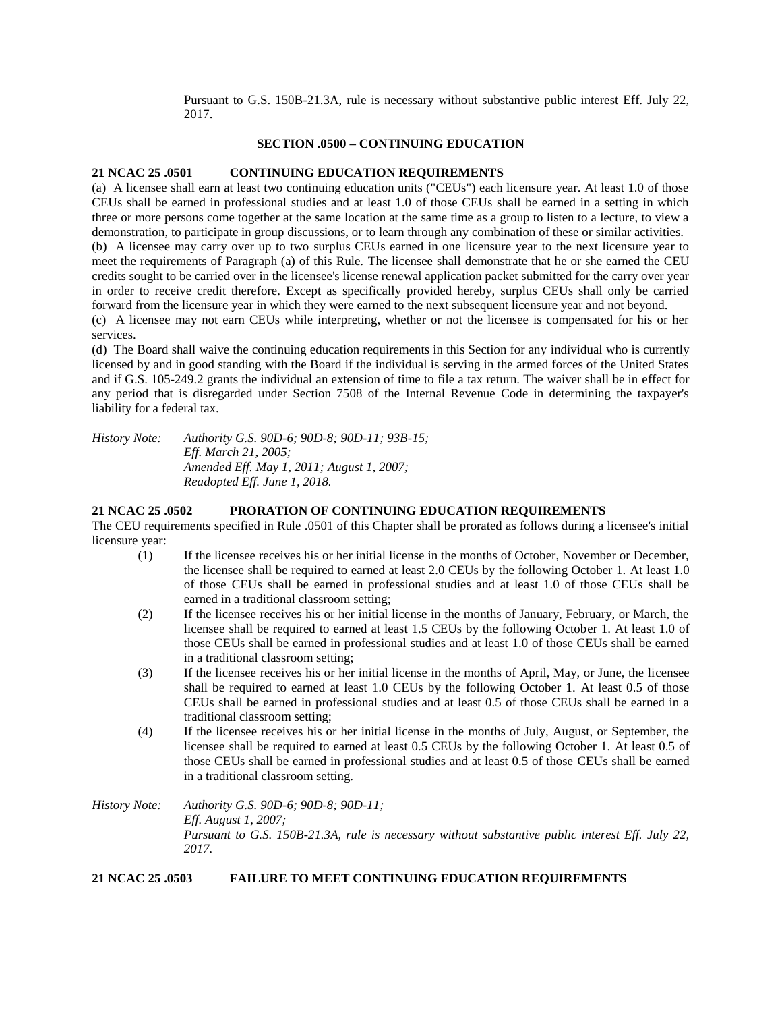Pursuant to G.S. 150B-21.3A, rule is necessary without substantive public interest Eff. July 22, 2017.

#### **SECTION .0500 – CONTINUING EDUCATION**

### **21 NCAC 25 .0501 CONTINUING EDUCATION REQUIREMENTS**

(a) A licensee shall earn at least two continuing education units ("CEUs") each licensure year. At least 1.0 of those CEUs shall be earned in professional studies and at least 1.0 of those CEUs shall be earned in a setting in which three or more persons come together at the same location at the same time as a group to listen to a lecture, to view a demonstration, to participate in group discussions, or to learn through any combination of these or similar activities.

(b) A licensee may carry over up to two surplus CEUs earned in one licensure year to the next licensure year to meet the requirements of Paragraph (a) of this Rule. The licensee shall demonstrate that he or she earned the CEU credits sought to be carried over in the licensee's license renewal application packet submitted for the carry over year in order to receive credit therefore. Except as specifically provided hereby, surplus CEUs shall only be carried forward from the licensure year in which they were earned to the next subsequent licensure year and not beyond.

(c) A licensee may not earn CEUs while interpreting, whether or not the licensee is compensated for his or her services.

(d) The Board shall waive the continuing education requirements in this Section for any individual who is currently licensed by and in good standing with the Board if the individual is serving in the armed forces of the United States and if G.S. 105-249.2 grants the individual an extension of time to file a tax return. The waiver shall be in effect for any period that is disregarded under Section 7508 of the Internal Revenue Code in determining the taxpayer's liability for a federal tax.

*History Note: Authority G.S. 90D-6; 90D-8; 90D-11; 93B-15; Eff. March 21, 2005; Amended Eff. May 1, 2011; August 1, 2007; Readopted Eff. June 1, 2018.*

#### **21 NCAC 25 .0502 PRORATION OF CONTINUING EDUCATION REQUIREMENTS**

The CEU requirements specified in Rule .0501 of this Chapter shall be prorated as follows during a licensee's initial licensure year:

- (1) If the licensee receives his or her initial license in the months of October, November or December, the licensee shall be required to earned at least 2.0 CEUs by the following October 1. At least 1.0 of those CEUs shall be earned in professional studies and at least 1.0 of those CEUs shall be earned in a traditional classroom setting;
- (2) If the licensee receives his or her initial license in the months of January, February, or March, the licensee shall be required to earned at least 1.5 CEUs by the following October 1. At least 1.0 of those CEUs shall be earned in professional studies and at least 1.0 of those CEUs shall be earned in a traditional classroom setting;
- (3) If the licensee receives his or her initial license in the months of April, May, or June, the licensee shall be required to earned at least 1.0 CEUs by the following October 1. At least 0.5 of those CEUs shall be earned in professional studies and at least 0.5 of those CEUs shall be earned in a traditional classroom setting;
- (4) If the licensee receives his or her initial license in the months of July, August, or September, the licensee shall be required to earned at least 0.5 CEUs by the following October 1. At least 0.5 of those CEUs shall be earned in professional studies and at least 0.5 of those CEUs shall be earned in a traditional classroom setting.

*History Note: Authority G.S. 90D-6; 90D-8; 90D-11; Eff. August 1, 2007; Pursuant to G.S. 150B-21.3A, rule is necessary without substantive public interest Eff. July 22, 2017.*

**21 NCAC 25 .0503 FAILURE TO MEET CONTINUING EDUCATION REQUIREMENTS**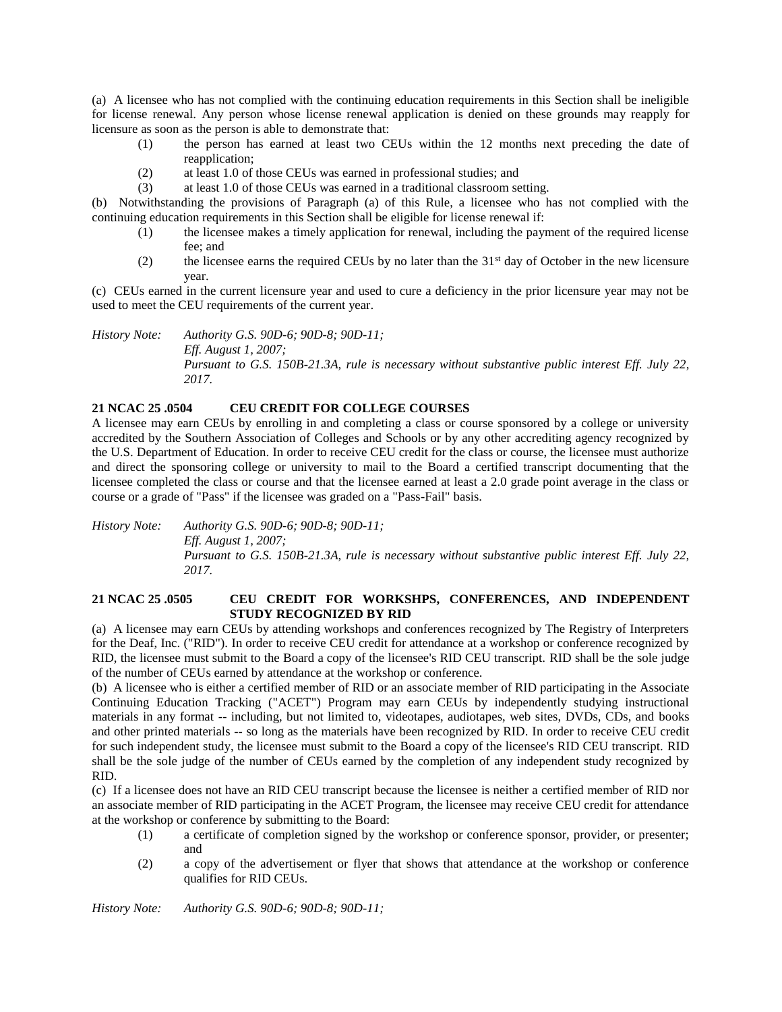(a) A licensee who has not complied with the continuing education requirements in this Section shall be ineligible for license renewal. Any person whose license renewal application is denied on these grounds may reapply for licensure as soon as the person is able to demonstrate that:

- (1) the person has earned at least two CEUs within the 12 months next preceding the date of reapplication;
- (2) at least 1.0 of those CEUs was earned in professional studies; and
- (3) at least 1.0 of those CEUs was earned in a traditional classroom setting.

(b) Notwithstanding the provisions of Paragraph (a) of this Rule, a licensee who has not complied with the continuing education requirements in this Section shall be eligible for license renewal if:

- (1) the licensee makes a timely application for renewal, including the payment of the required license fee; and
- (2) the licensee earns the required CEUs by no later than the  $31<sup>st</sup>$  day of October in the new licensure year.

(c) CEUs earned in the current licensure year and used to cure a deficiency in the prior licensure year may not be used to meet the CEU requirements of the current year.

*History Note: Authority G.S. 90D-6; 90D-8; 90D-11; Eff. August 1, 2007; Pursuant to G.S. 150B-21.3A, rule is necessary without substantive public interest Eff. July 22, 2017.*

# **21 NCAC 25 .0504 CEU CREDIT FOR COLLEGE COURSES**

A licensee may earn CEUs by enrolling in and completing a class or course sponsored by a college or university accredited by the Southern Association of Colleges and Schools or by any other accrediting agency recognized by the U.S. Department of Education. In order to receive CEU credit for the class or course, the licensee must authorize and direct the sponsoring college or university to mail to the Board a certified transcript documenting that the licensee completed the class or course and that the licensee earned at least a 2.0 grade point average in the class or course or a grade of "Pass" if the licensee was graded on a "Pass-Fail" basis.

*History Note: Authority G.S. 90D-6; 90D-8; 90D-11; Eff. August 1, 2007; Pursuant to G.S. 150B-21.3A, rule is necessary without substantive public interest Eff. July 22, 2017.*

### **21 NCAC 25 .0505 CEU CREDIT FOR WORKSHPS, CONFERENCES, AND INDEPENDENT STUDY RECOGNIZED BY RID**

(a) A licensee may earn CEUs by attending workshops and conferences recognized by The Registry of Interpreters for the Deaf, Inc. ("RID"). In order to receive CEU credit for attendance at a workshop or conference recognized by RID, the licensee must submit to the Board a copy of the licensee's RID CEU transcript. RID shall be the sole judge of the number of CEUs earned by attendance at the workshop or conference.

(b) A licensee who is either a certified member of RID or an associate member of RID participating in the Associate Continuing Education Tracking ("ACET") Program may earn CEUs by independently studying instructional materials in any format -- including, but not limited to, videotapes, audiotapes, web sites, DVDs, CDs, and books and other printed materials -- so long as the materials have been recognized by RID. In order to receive CEU credit for such independent study, the licensee must submit to the Board a copy of the licensee's RID CEU transcript. RID shall be the sole judge of the number of CEUs earned by the completion of any independent study recognized by RID.

(c) If a licensee does not have an RID CEU transcript because the licensee is neither a certified member of RID nor an associate member of RID participating in the ACET Program, the licensee may receive CEU credit for attendance at the workshop or conference by submitting to the Board:

- (1) a certificate of completion signed by the workshop or conference sponsor, provider, or presenter; and
- (2) a copy of the advertisement or flyer that shows that attendance at the workshop or conference qualifies for RID CEUs.

*History Note: Authority G.S. 90D-6; 90D-8; 90D-11;*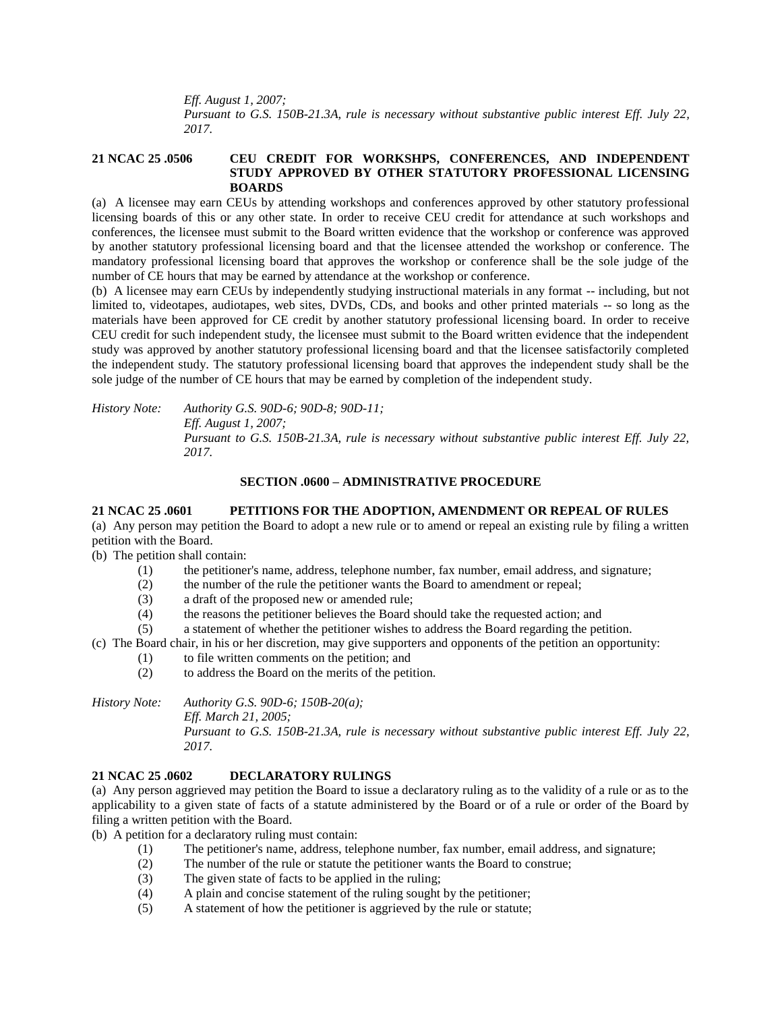*Eff. August 1, 2007;*

*Pursuant to G.S. 150B-21.3A, rule is necessary without substantive public interest Eff. July 22, 2017.*

### **21 NCAC 25 .0506 CEU CREDIT FOR WORKSHPS, CONFERENCES, AND INDEPENDENT STUDY APPROVED BY OTHER STATUTORY PROFESSIONAL LICENSING BOARDS**

(a) A licensee may earn CEUs by attending workshops and conferences approved by other statutory professional licensing boards of this or any other state. In order to receive CEU credit for attendance at such workshops and conferences, the licensee must submit to the Board written evidence that the workshop or conference was approved by another statutory professional licensing board and that the licensee attended the workshop or conference. The mandatory professional licensing board that approves the workshop or conference shall be the sole judge of the number of CE hours that may be earned by attendance at the workshop or conference.

(b) A licensee may earn CEUs by independently studying instructional materials in any format -- including, but not limited to, videotapes, audiotapes, web sites, DVDs, CDs, and books and other printed materials -- so long as the materials have been approved for CE credit by another statutory professional licensing board. In order to receive CEU credit for such independent study, the licensee must submit to the Board written evidence that the independent study was approved by another statutory professional licensing board and that the licensee satisfactorily completed the independent study. The statutory professional licensing board that approves the independent study shall be the sole judge of the number of CE hours that may be earned by completion of the independent study.

*History Note: Authority G.S. 90D-6; 90D-8; 90D-11; Eff. August 1, 2007; Pursuant to G.S. 150B-21.3A, rule is necessary without substantive public interest Eff. July 22, 2017.*

# **SECTION .0600 – ADMINISTRATIVE PROCEDURE**

**21 NCAC 25 .0601 PETITIONS FOR THE ADOPTION, AMENDMENT OR REPEAL OF RULES** (a) Any person may petition the Board to adopt a new rule or to amend or repeal an existing rule by filing a written petition with the Board.

(b) The petition shall contain:

- (1) the petitioner's name, address, telephone number, fax number, email address, and signature;
- (2) the number of the rule the petitioner wants the Board to amendment or repeal;
- (3) a draft of the proposed new or amended rule;
- (4) the reasons the petitioner believes the Board should take the requested action; and
- (5) a statement of whether the petitioner wishes to address the Board regarding the petition.

(c) The Board chair, in his or her discretion, may give supporters and opponents of the petition an opportunity:

- (1) to file written comments on the petition; and
- (2) to address the Board on the merits of the petition.

*History Note: Authority G.S. 90D-6; 150B-20(a); Eff. March 21, 2005;*

*Pursuant to G.S. 150B-21.3A, rule is necessary without substantive public interest Eff. July 22, 2017.*

# **21 NCAC 25 .0602 DECLARATORY RULINGS**

(a) Any person aggrieved may petition the Board to issue a declaratory ruling as to the validity of a rule or as to the applicability to a given state of facts of a statute administered by the Board or of a rule or order of the Board by filing a written petition with the Board.

(b) A petition for a declaratory ruling must contain:

- (1) The petitioner's name, address, telephone number, fax number, email address, and signature;
- (2) The number of the rule or statute the petitioner wants the Board to construe;
- (3) The given state of facts to be applied in the ruling;
- (4) A plain and concise statement of the ruling sought by the petitioner;
- (5) A statement of how the petitioner is aggrieved by the rule or statute;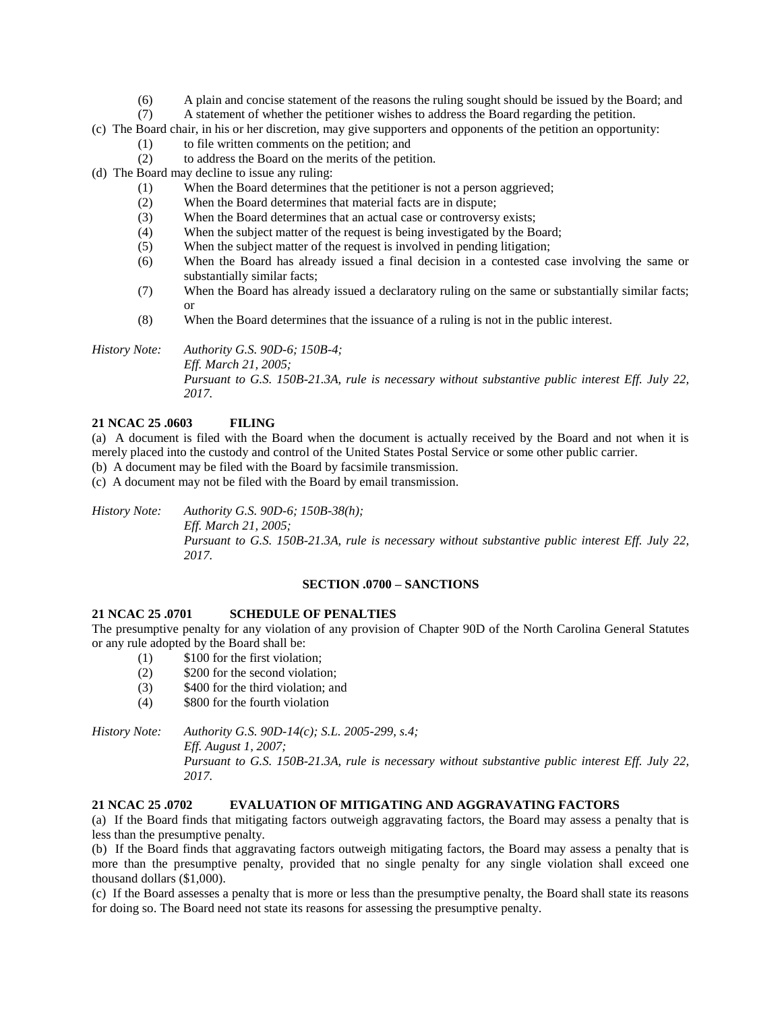- (6) A plain and concise statement of the reasons the ruling sought should be issued by the Board; and
- (7) A statement of whether the petitioner wishes to address the Board regarding the petition.
- (c) The Board chair, in his or her discretion, may give supporters and opponents of the petition an opportunity:
	- (1) to file written comments on the petition; and
	- (2) to address the Board on the merits of the petition.
- (d) The Board may decline to issue any ruling:
	- (1) When the Board determines that the petitioner is not a person aggrieved;
	- (2) When the Board determines that material facts are in dispute;
	- (3) When the Board determines that an actual case or controversy exists;
	- (4) When the subject matter of the request is being investigated by the Board;
	- (5) When the subject matter of the request is involved in pending litigation;
	- (6) When the Board has already issued a final decision in a contested case involving the same or substantially similar facts;
	- (7) When the Board has already issued a declaratory ruling on the same or substantially similar facts; or
	- (8) When the Board determines that the issuance of a ruling is not in the public interest.

*History Note: Authority G.S. 90D-6; 150B-4; Eff. March 21, 2005; Pursuant to G.S. 150B-21.3A, rule is necessary without substantive public interest Eff. July 22, 2017.*

# **21 NCAC 25 .0603 FILING**

(a) A document is filed with the Board when the document is actually received by the Board and not when it is merely placed into the custody and control of the United States Postal Service or some other public carrier.

(b) A document may be filed with the Board by facsimile transmission.

(c) A document may not be filed with the Board by email transmission.

*History Note: Authority G.S. 90D-6; 150B-38(h); Eff. March 21, 2005; Pursuant to G.S. 150B-21.3A, rule is necessary without substantive public interest Eff. July 22, 2017.*

### **SECTION .0700 – SANCTIONS**

# **21 NCAC 25 .0701 SCHEDULE OF PENALTIES**

The presumptive penalty for any violation of any provision of Chapter 90D of the North Carolina General Statutes or any rule adopted by the Board shall be:

- (1) \$100 for the first violation;
- (2) \$200 for the second violation;
- (3) \$400 for the third violation; and
- (4) \$800 for the fourth violation

*History Note: Authority G.S. 90D-14(c); S.L. 2005-299, s.4; Eff. August 1, 2007;*

*Pursuant to G.S. 150B-21.3A, rule is necessary without substantive public interest Eff. July 22, 2017.*

# **21 NCAC 25 .0702 EVALUATION OF MITIGATING AND AGGRAVATING FACTORS**

(a) If the Board finds that mitigating factors outweigh aggravating factors, the Board may assess a penalty that is less than the presumptive penalty.

(b) If the Board finds that aggravating factors outweigh mitigating factors, the Board may assess a penalty that is more than the presumptive penalty, provided that no single penalty for any single violation shall exceed one thousand dollars (\$1,000).

(c) If the Board assesses a penalty that is more or less than the presumptive penalty, the Board shall state its reasons for doing so. The Board need not state its reasons for assessing the presumptive penalty.